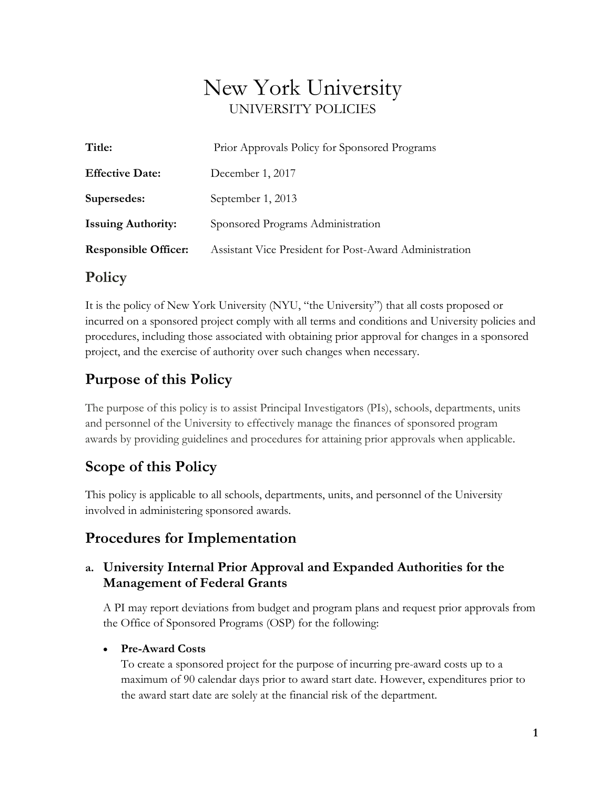# New York University UNIVERSITY POLICIES

| Title:                      | Prior Approvals Policy for Sponsored Programs          |
|-----------------------------|--------------------------------------------------------|
| <b>Effective Date:</b>      | December 1, 2017                                       |
| Supersedes:                 | September 1, 2013                                      |
| <b>Issuing Authority:</b>   | Sponsored Programs Administration                      |
| <b>Responsible Officer:</b> | Assistant Vice President for Post-Award Administration |
|                             |                                                        |

### **Policy**

It is the policy of New York University (NYU, "the University") that all costs proposed or incurred on a sponsored project comply with all terms and conditions and University policies and procedures, including those associated with obtaining prior approval for changes in a sponsored project, and the exercise of authority over such changes when necessary.

## **Purpose of this Policy**

The purpose of this policy is to assist Principal Investigators (PIs), schools, departments, units and personnel of the University to effectively manage the finances of sponsored program awards by providing guidelines and procedures for attaining prior approvals when applicable.

### **Scope of this Policy**

This policy is applicable to all schools, departments, units, and personnel of the University involved in administering sponsored awards.

## **Procedures for Implementation**

### **a. University Internal Prior Approval and Expanded Authorities for the Management of Federal Grants**

A PI may report deviations from budget and program plans and request prior approvals from the Office of Sponsored Programs (OSP) for the following:

### • **Pre-Award Costs**

To create a sponsored project for the purpose of incurring pre-award costs up to a maximum of 90 calendar days prior to award start date. However, expenditures prior to the award start date are solely at the financial risk of the department.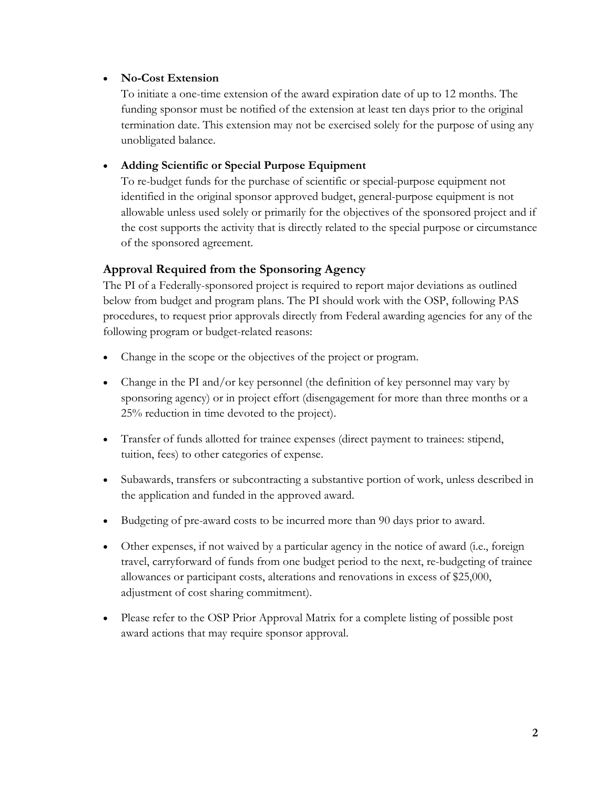#### • **No-Cost Extension**

To initiate a one-time extension of the award expiration date of up to 12 months. The funding sponsor must be notified of the extension at least ten days prior to the original termination date. This extension may not be exercised solely for the purpose of using any unobligated balance.

#### • **Adding Scientific or Special Purpose Equipment**

To re-budget funds for the purchase of scientific or special-purpose equipment not identified in the original sponsor approved budget, general-purpose equipment is not allowable unless used solely or primarily for the objectives of the sponsored project and if the cost supports the activity that is directly related to the special purpose or circumstance of the sponsored agreement.

#### **Approval Required from the Sponsoring Agency**

The PI of a Federally-sponsored project is required to report major deviations as outlined below from budget and program plans. The PI should work with the OSP, following PAS procedures, to request prior approvals directly from Federal awarding agencies for any of the following program or budget-related reasons:

- Change in the scope or the objectives of the project or program.
- Change in the PI and/or key personnel (the definition of key personnel may vary by sponsoring agency) or in project effort (disengagement for more than three months or a 25% reduction in time devoted to the project).
- Transfer of funds allotted for trainee expenses (direct payment to trainees: stipend, tuition, fees) to other categories of expense.
- Subawards, transfers or subcontracting a substantive portion of work, unless described in the application and funded in the approved award.
- Budgeting of pre-award costs to be incurred more than 90 days prior to award.
- Other expenses, if not waived by a particular agency in the notice of award (i.e., foreign travel, carryforward of funds from one budget period to the next, re-budgeting of trainee allowances or participant costs, alterations and renovations in excess of \$25,000, adjustment of cost sharing commitment).
- Please refer to the OSP Prior Approval Matrix for a complete listing of possible post award actions that may require sponsor approval.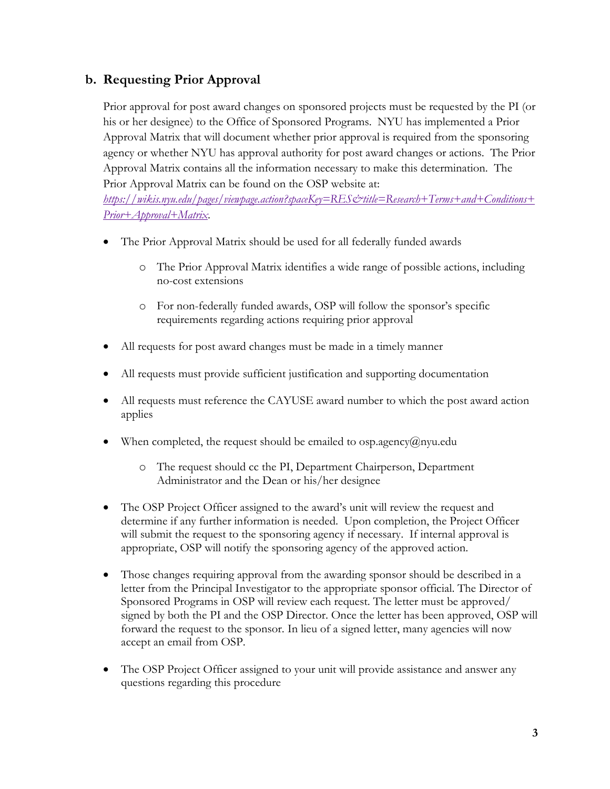### **b. Requesting Prior Approval**

Prior approval for post award changes on sponsored projects must be requested by the PI (or his or her designee) to the Office of Sponsored Programs. NYU has implemented a Prior Approval Matrix that will document whether prior approval is required from the sponsoring agency or whether NYU has approval authority for post award changes or actions. The Prior Approval Matrix contains all the information necessary to make this determination. The Prior Approval Matrix can be found on the OSP website at:

*https://wikis.nyu.edu/pages/viewpage.action?spaceKey=RES&title=Research+Terms+and+Conditions+ Prior+Approval+Matrix*.

- The Prior Approval Matrix should be used for all federally funded awards
	- o The Prior Approval Matrix identifies a wide range of possible actions, including no-cost extensions
	- o For non-federally funded awards, OSP will follow the sponsor's specific requirements regarding actions requiring prior approval
- All requests for post award changes must be made in a timely manner
- All requests must provide sufficient justification and supporting documentation
- All requests must reference the CAYUSE award number to which the post award action applies
- When completed, the request should be emailed to  $osp.agercy@nyu.edu$ 
	- o The request should cc the PI, Department Chairperson, Department Administrator and the Dean or his/her designee
- The OSP Project Officer assigned to the award's unit will review the request and determine if any further information is needed. Upon completion, the Project Officer will submit the request to the sponsoring agency if necessary. If internal approval is appropriate, OSP will notify the sponsoring agency of the approved action.
- Those changes requiring approval from the awarding sponsor should be described in a letter from the Principal Investigator to the appropriate sponsor official. The Director of Sponsored Programs in OSP will review each request. The letter must be approved/ signed by both the PI and the OSP Director. Once the letter has been approved, OSP will forward the request to the sponsor. In lieu of a signed letter, many agencies will now accept an email from OSP.
- The OSP Project Officer assigned to your unit will provide assistance and answer any questions regarding this procedure